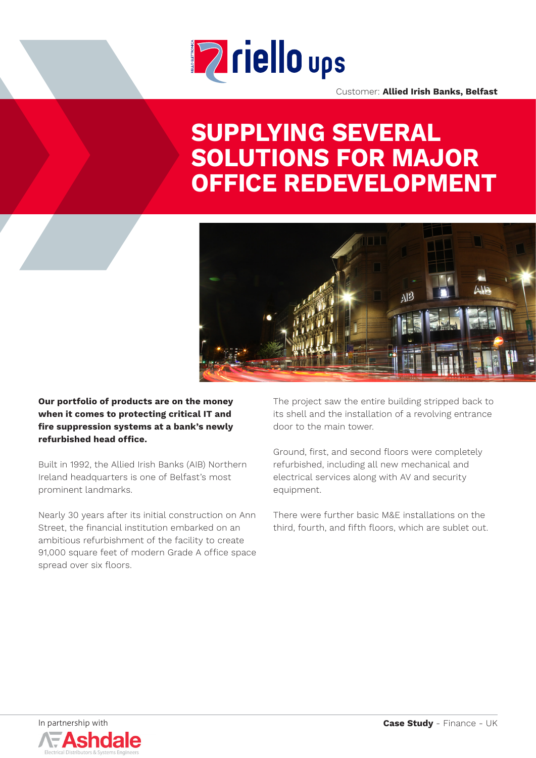

Customer: **Allied Irish Banks, Belfast**

# **SUPPLYING SEVERAL SOLUTIONS FOR MAJOR OFFICE REDEVELOPMENT**



**Our portfolio of products are on the money when it comes to protecting critical IT and fire suppression systems at a bank's newly refurbished head office.**

Built in 1992, the Allied Irish Banks (AIB) Northern Ireland headquarters is one of Belfast's most prominent landmarks.

Nearly 30 years after its initial construction on Ann Street, the financial institution embarked on an ambitious refurbishment of the facility to create 91,000 square feet of modern Grade A office space spread over six floors.

The project saw the entire building stripped back to its shell and the installation of a revolving entrance door to the main tower.

Ground, first, and second floors were completely refurbished, including all new mechanical and electrical services along with AV and security equipment.

There were further basic M&E installations on the third, fourth, and fifth floors, which are sublet out.

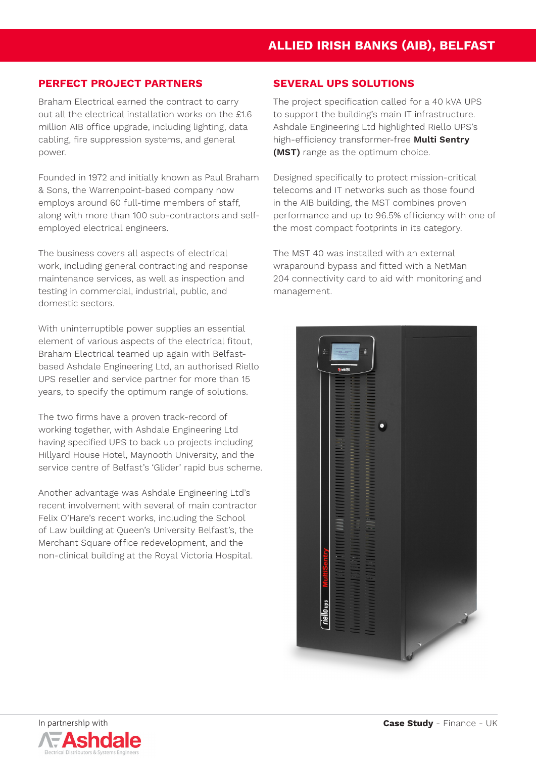### **PERFECT PROJECT PARTNERS**

Braham Electrical earned the contract to carry out all the electrical installation works on the £1.6 million AIB office upgrade, including lighting, data cabling, fire suppression systems, and general power.

Founded in 1972 and initially known as Paul Braham & Sons, the Warrenpoint-based company now employs around 60 full-time members of staff, along with more than 100 sub-contractors and selfemployed electrical engineers.

The business covers all aspects of electrical work, including general contracting and response maintenance services, as well as inspection and testing in commercial, industrial, public, and domestic sectors.

With uninterruptible power supplies an essential element of various aspects of the electrical fitout, Braham Electrical teamed up again with Belfastbased Ashdale Engineering Ltd, an authorised Riello UPS reseller and service partner for more than 15 years, to specify the optimum range of solutions.

The two firms have a proven track-record of working together, with Ashdale Engineering Ltd having specified UPS to back up projects including Hillyard House Hotel, Maynooth University, and the service centre of Belfast's 'Glider' rapid bus scheme.

Another advantage was Ashdale Engineering Ltd's recent involvement with several of main contractor Felix O'Hare's recent works, including the School of Law building at Queen's University Belfast's, the Merchant Square office redevelopment, and the non-clinical building at the Royal Victoria Hospital.

#### **SEVERAL UPS SOLUTIONS**

The project specification called for a 40 kVA UPS to support the building's main IT infrastructure. Ashdale Engineering Ltd highlighted Riello UPS's high-efficiency transformer-free **Multi Sentry (MST)** range as the optimum choice.

Designed specifically to protect mission-critical telecoms and IT networks such as those found in the AIB building, the MST combines proven performance and up to 96.5% efficiency with one of the most compact footprints in its category.

The MST 40 was installed with an external wraparound bypass and fitted with a NetMan 204 connectivity card to aid with monitoring and management.